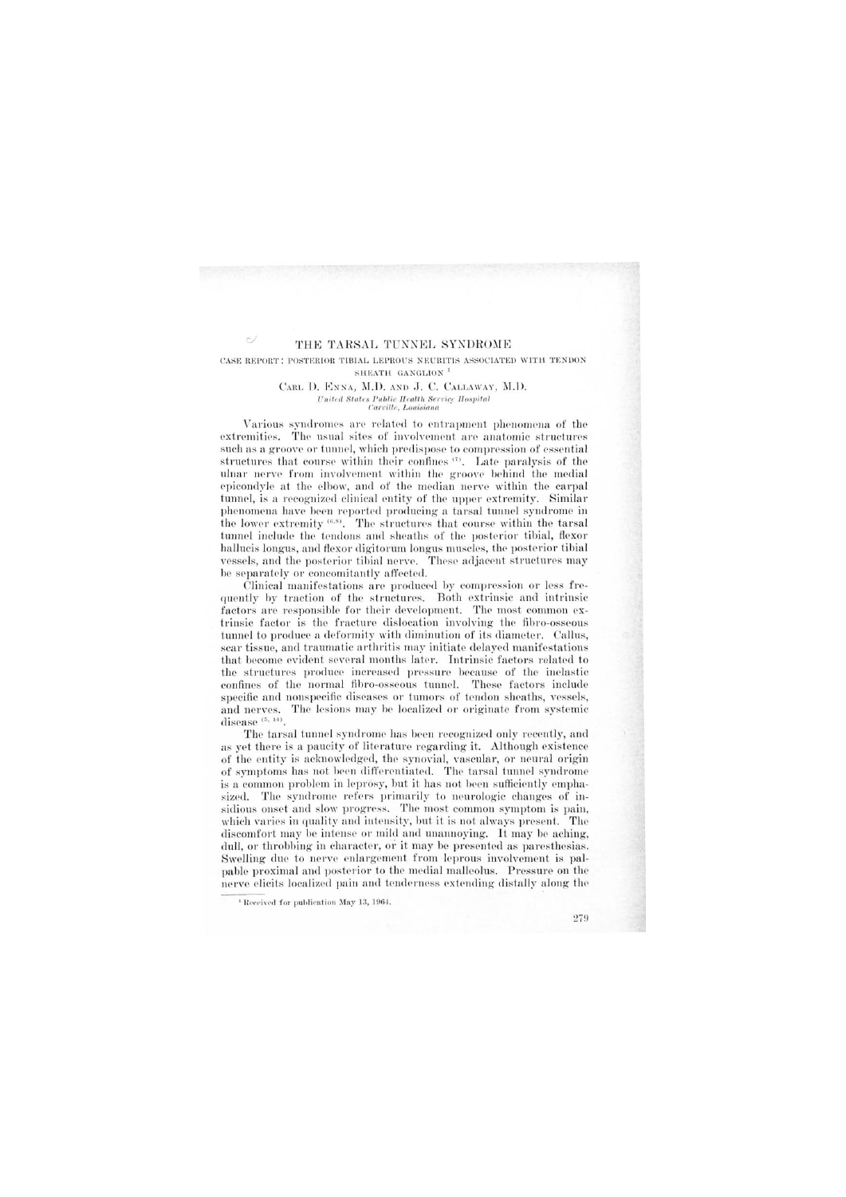# THE TARSAL TUNNEL SYNDROME

 $\sim$ 

### CASE REPORT: POSTERIOR TIBIAL LEPROUS NEURITIS ASSOCIATED WITH TENDON SHEATH GANGLION<sup>1</sup>

### CARL D. ENNA, M.D. AND J. C. CALLAWAY, M.D. United States Public Health Service Hospital Carville, Louisiana

Various syndromes are related to entrapment phenomena of the extremities. The usual sites of involvement are anatomic structures such as a groove or tunnel, which predispose to compression of essential structures that course within their confines (5). Late paralysis of the ulnar nerve from involvement within the groove behind the medial epicondyle at the elbow, and of the median nerve within the carpal tunnel, is a recognized clinical entity of the upper extremity. Similar phenomena have been reported producing a tarsal tunnel syndrome in the lower extremity <sup>(6,8)</sup>. The structures that course within the tarsal tunnel include the tendons and sheaths of the posterior tibial, flexor hallucis longus, and flexor digitorum longus muscles, the posterior tibial vessels, and the posterior tibial nerve. These adjacent structures may be separately or concomitantly affected.

Clinical manifestations are produced by compression or less frequently by traction of the structures. Both extrinsic and intrinsic factors are responsible for their development. The most common extrinsic factor is the fracture dislocation involving the fibro-osseous tunnel to produce a deformity with diminution of its diameter. Callus, sear tissue, and traumatic arthritis may initiate delayed manifestations that become evident several months later. Intrinsic factors related to the structures produce increased pressure because of the inelastic confines of the normal fibro-osseous tunnel. These factors include specific and nonspecific diseases or tumors of tendon sheaths, vessels, and nerves. The lesions may be localized or originate from systemic disease<sup>(5, 14)</sup>.

The tarsal tunnel syndrome has been recognized only recently, and as yet there is a paucity of literature regarding it. Although existence of the entity is acknowledged, the synovial, vascular, or neural origin of symptoms has not been differentiated. The tarsal tunnel syndrome is a common problem in leprosy, but it has not been sufficiently emphasized. The syndrome refers primarily to neurologic changes of insidious onset and slow progress. The most common symptom is pain, which varies in quality and intensity, but it is not always present. The discomfort may be intense or mild and unannoying. It may be aching, dull, or throbbing in character, or it may be presented as paresthesias. Swelling due to nerve enlargement from leprous involvement is palpable proximal and posterior to the medial malleolus. Pressure on the nerve elicits localized pain and tenderness extending distally along the

<sup>&</sup>lt;sup>1</sup> Received for publication May 13, 1964.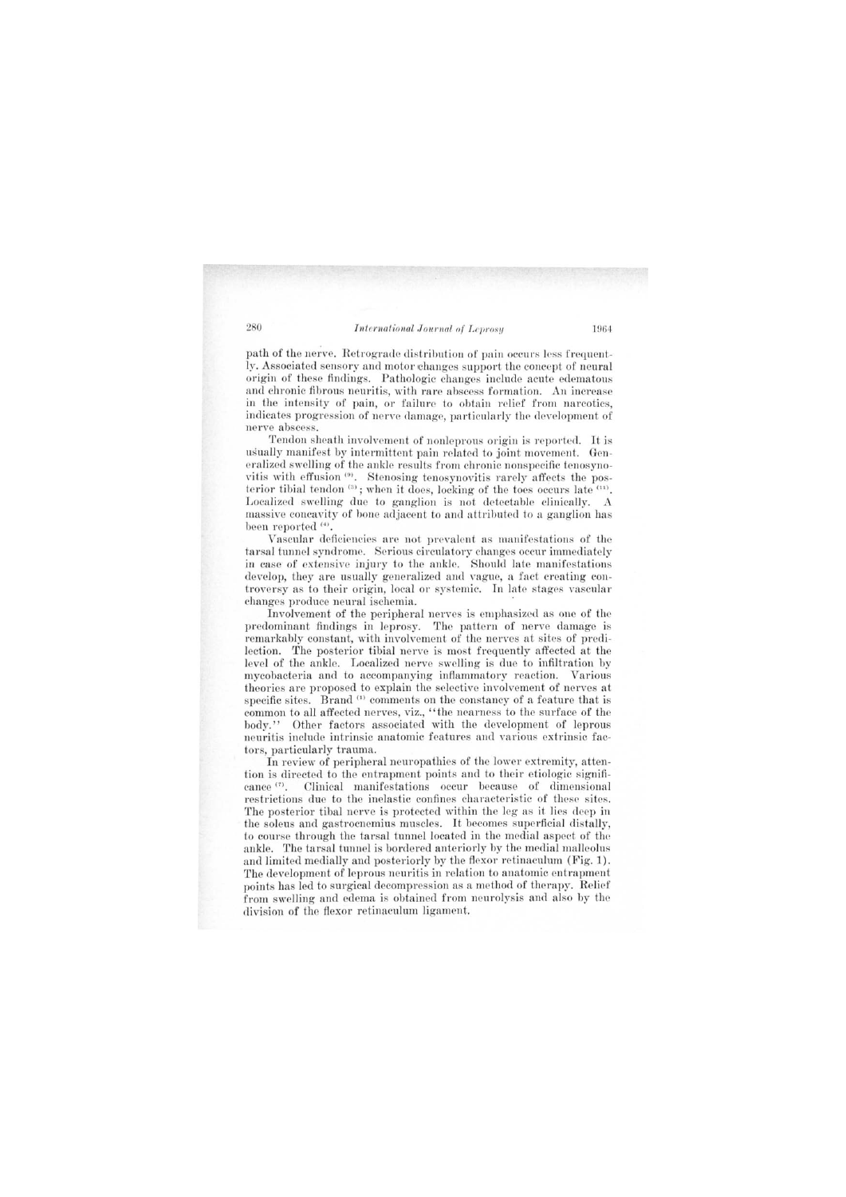path of the nerve. Retrograde distribution of pain occurs less frequently. Associated sensory and motor changes support the concept of neural origin of these findings. Pathologic changes include acute edematous and chronic fibrous neuritis, with rare abscess formation. An increase in the intensity of pain, or failure to obtain relief from narcotics, indicates progression of nerve damage, particularly the development of nerve abscess.

Tendon sheath involvement of nonleprous origin is reported. It is usually manifest by intermittent pain related to joint movement. Generalized swelling of the ankle results from chronic nonspecific tenosynovitis with effusion (9). Stenosing tenosynovitis rarely affects the posterior tibial tendon (3); when it does, locking of the toes occurs late (11). Localized swelling due to ganglion is not detectable clinically. A massive concavity of bone adjacent to and attributed to a ganglion has been reported  $(4)$ .

Vascular deficiencies are not prevalent as manifestations of the tarsal tunnel syndrome. Serious circulatory changes occur immediately in case of extensive injury to the ankle. Should late manifestations develop, they are usually generalized and vague, a fact creating controversy as to their origin, local or systemic. In late stages vascular changes produce neural ischemia. .

Involvement of the peripheral nerves is emphasized as one of the predominant findings in leprosy. The pattern of nerve damage is remarkably constant, with involvement of the nerves at sites of predilection. The posterior tibial nerve is most frequently affected at the level of the ankle. Localized nerve swelling is due to infiltration by mycobacteria and to accompanying inflammatory reaction. Various theories are proposed to explain the selective involvement of nerves at specific sites. Brand<sup>(1)</sup> comments on the constancy of a feature that is common to all affected nerves, viz., "the nearness to the surface of the body." Other factors associated with the development of leprous Other factors associated with the development of leprous neuritis include intrinsic anatomic features and various extrinsic factors, particularly trauma.

In review of peripheral neuropathies of the lower extremity, attention is directed to the entrapment points and to their etiologic significance  $(7)$ . Clinical manifestations occur because of dimensional restrictions due to the inelastic confines characteristic of these sites. The posterior tibal nerve is protected within the leg as it lies deep in the soleus and gastrocnemius muscles. It becomes superficial distally, to course through the tarsal tunnel located in the medial aspect of the ankle. The tarsal tunnel is bordered anteriorly by the medial malleolus and limited medially and posteriorly by the flexor retinaculum (Fig. 1). The development of leprous neuritis in relation to anatomic entrapment points has led to surgical decompression as a method of therapy. Relief from swelling and edema is obtained from neurolysis and also by the division of the flexor retinaculum ligament.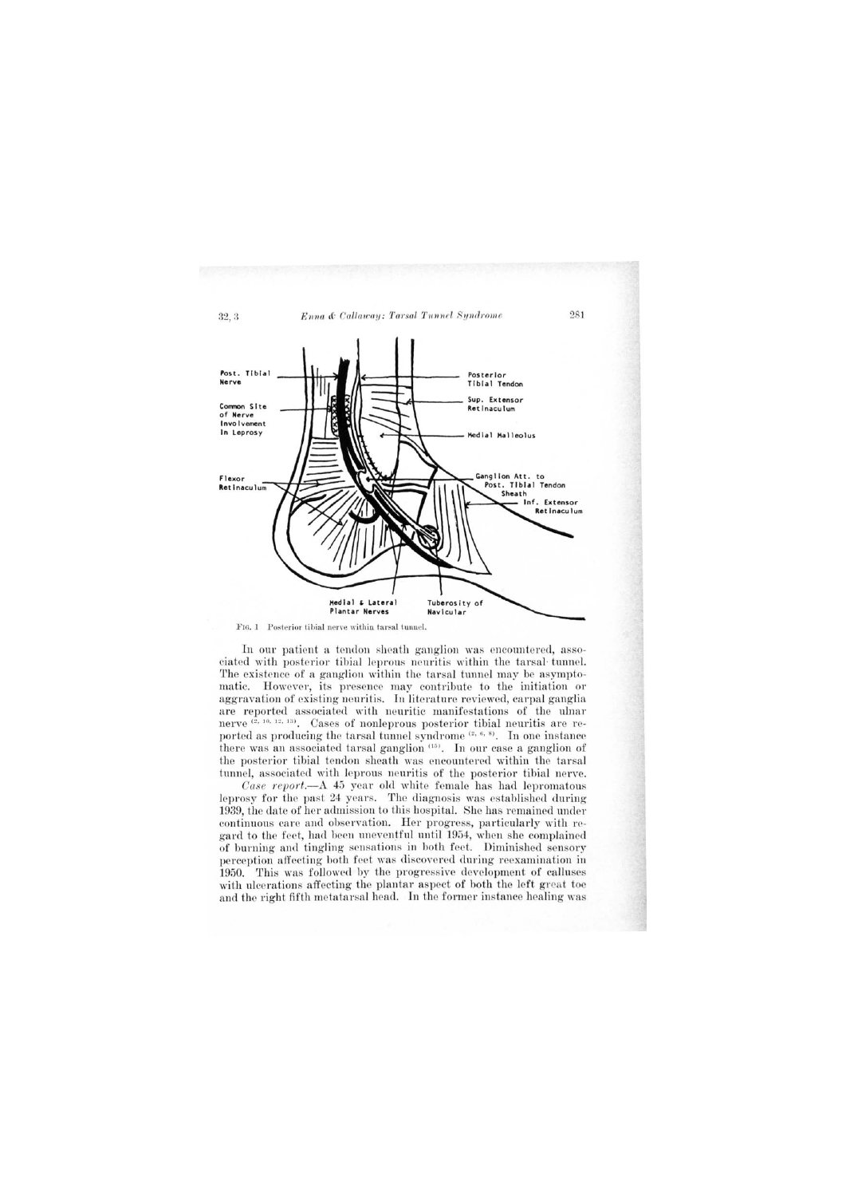

FIG. 1 Posterior tibial nerve within tarsal tunnel.

In our patient a tendon sheath ganglion was encountered, assoeiated with posterior tibial leprous neuritis within the tarsal tunnel. The existence of a ganglion within the tarsal tunnel may be asymptomatic. However, its presence may contribute to the initiation or aggravation of existing neuritis. In literature reviewed, carpal ganglia are reported associated with neuritic manifestations of the ulnar nerve  $(2, 10, 12, 13)$ . Cases of nonleprous posterior tibial neuritis are reported as producing the tarsal tunnel syndrome<sup>(2, 6, 8)</sup>. In one instance there was an associated tarsal ganglion<sup>(15)</sup>. In our case a ganglion of the posterior tibial tendon sheath was encountered within the tarsal tunnel, associated with leprous neuritis of the posterior tibial nerve.

Case report.— $A$  45 year old white female has had lepromatous leprosy for the past 24 years. The diagnosis was established during 1939, the date of her admission to this hospital. She has remained under continuous care and observation. Her progress, particularly with regard to the feet, had been uneventful until 1954, when she complained of burning and tingling sensations in both feet. Diminished sensory perception affecting both feet was discovered during reexamination in 1950. This was followed by the progressive development of calluses with ulcerations affecting the plantar aspect of both the left great toe and the right fifth metatarsal head. In the former instance healing was

281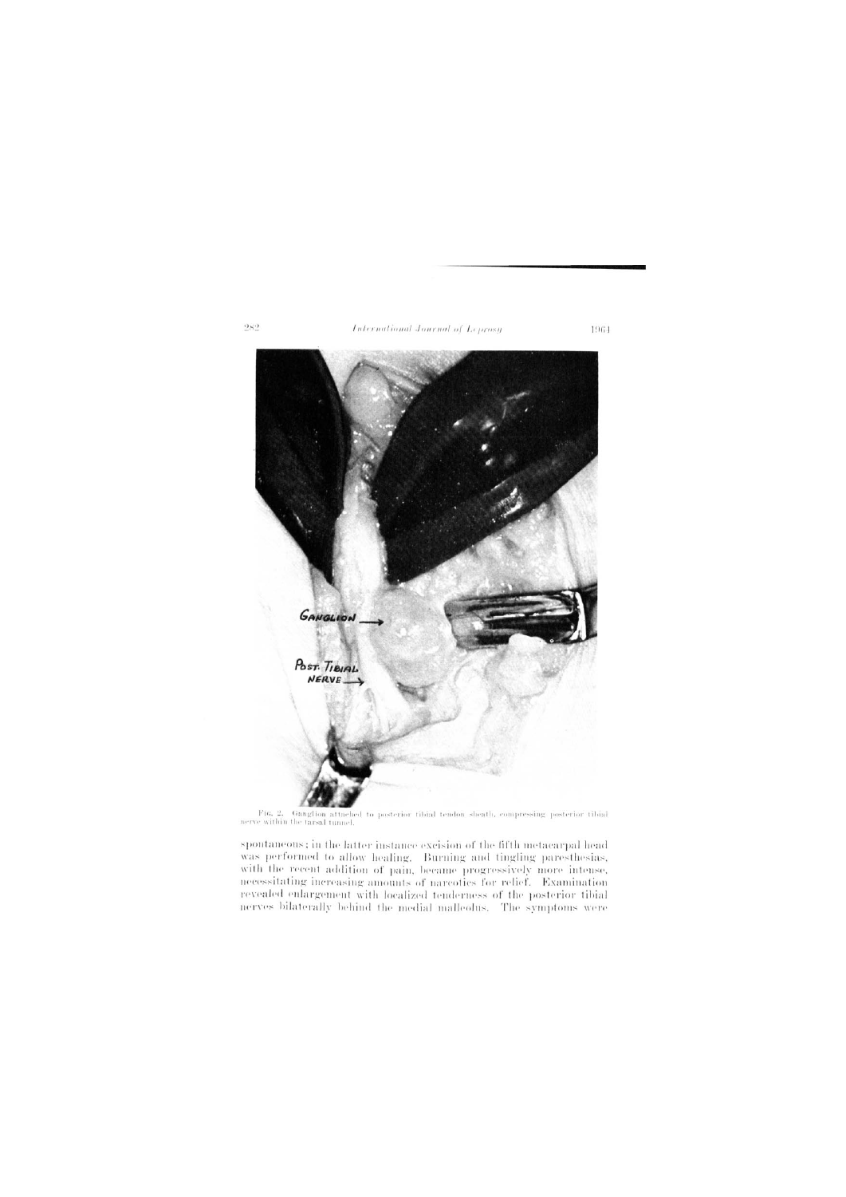

F16, 2. Gauglion attached to posterior tibial tendon sheath, compressing posterior tibial nerve within the tarsal tunnel.

spontaneous; in the latter instance excision of the fifth metacarpal head was performed to allow healing. Burning and tingling paresthesias, with the recent addition of pain, became progressively more intense, necessitating increasing amounts of narcotics for relief. Examination revealed enlargement with localized tenderness of the posterior tibial nerves bilaterally behind the medial malleolus. The symptoms were

 $282$ 

1964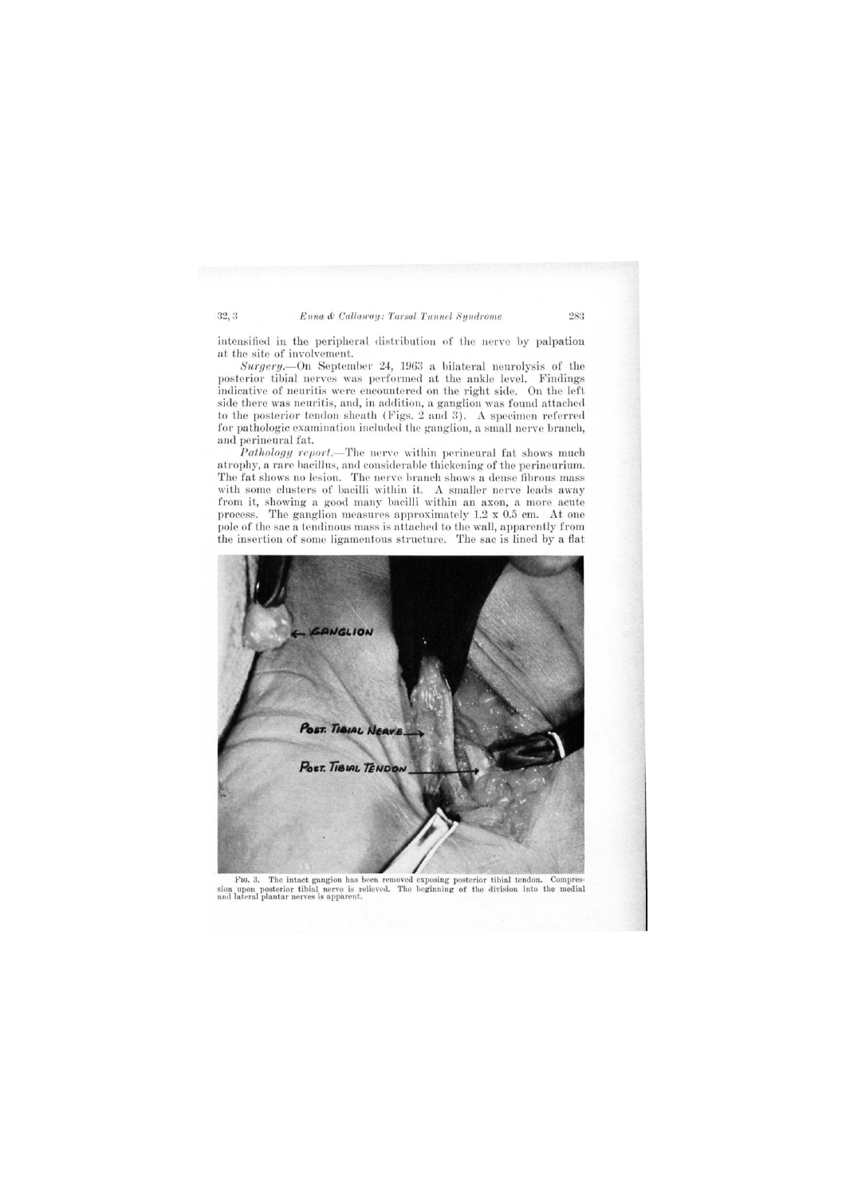## 32, 3 Enna & Callaway: Tarsal Tunnel Syndrome 283

intensified in the peripheral distribution of the nerve by palpation at the site of involvement.

Surgery. On September 24, 1963 a bilateral neurolysis of the posterior tibial nerves was performed at the ankle level. Findings indicative of neuritis were encountered on the right side. On the left side there was neuritis, and, in addition, a ganglion was found attached to the posterior tendon sheath (Figs. 2 and 3). A specimen referred for pathologic examination included the ganglion, a small nerve branch, and perineural fat.

*Pathology report.*—The nerve within perineural fat shows much atrophy, a rare bacillus, and considerable thickening of the perineurium. The fat shows no lesion. The nerve branch shows a dense fibrous mass with some clusters of bacilli within it. A smaller nerve leads away from it, showing a good many bacilli within an axon, a more acute process. The ganglion measures approximately 1.2 x 0.5 cm. At one pole of the sac a tendinous mass is attached to the wall, apparently from the insertion of some ligamentous structure. The sac is lined by a flat



FIG. 3. The intact gangion has been removed exposing posterior tibial tendon. Compression upon posterior tibial nerve is relieved. The beginning of the division into the medial and lateral plantar nerves is apparent.